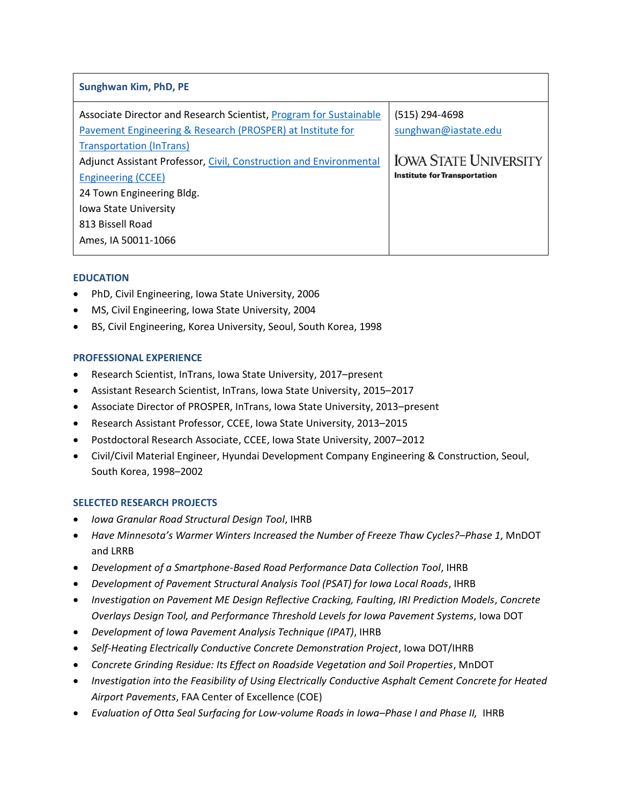| Sunghwan Kim, PhD, PE                                                                                                                                                                                                                     |                                                                        |
|-------------------------------------------------------------------------------------------------------------------------------------------------------------------------------------------------------------------------------------------|------------------------------------------------------------------------|
| Associate Director and Research Scientist, Program for Sustainable<br>Pavement Engineering & Research (PROSPER) at Institute for<br><b>Transportation (InTrans)</b><br>Adjunct Assistant Professor, Civil, Construction and Environmental | (515) 294-4698<br>sunghwan@iastate.edu<br><b>IOWA STATE UNIVERSITY</b> |
| <b>Engineering (CCEE)</b><br>24 Town Engineering Bldg.                                                                                                                                                                                    | <b>Institute for Transportation</b>                                    |
| Iowa State University                                                                                                                                                                                                                     |                                                                        |
| 813 Bissell Road                                                                                                                                                                                                                          |                                                                        |
| Ames, IA 50011-1066                                                                                                                                                                                                                       |                                                                        |

# **EDUCATION**

- PhD, Civil Engineering, Iowa State University, 2006
- MS, Civil Engineering, Iowa State University, 2004
- BS, Civil Engineering, Korea University, Seoul, South Korea, 1998

## **PROFESSIONAL EXPERIENCE**

- Research Scientist, InTrans, Iowa State University, 2017–present
- Assistant Research Scientist, InTrans, Iowa State University, 2015–2017
- Associate Director of PROSPER, InTrans, Iowa State University, 2013–present
- Research Assistant Professor, CCEE, Iowa State University, 2013–2015
- Postdoctoral Research Associate, CCEE, Iowa State University, 2007–2012
- Civil/Civil Material Engineer, Hyundai Development Company Engineering & Construction, Seoul, South Korea, 1998–2002

### **SELECTED RESEARCH PROJECTS**

- *Iowa Granular Road Structural Design Tool*, IHRB
- *Have Minnesota's Warmer Winters Increased the Number of Freeze Thaw Cycles?–Phase 1*, MnDOT and LRRB
- *Development of a Smartphone-Based Road Performance Data Collection Tool*, IHRB
- *Development of Pavement Structural Analysis Tool (PSAT) for Iowa Local Roads*, IHRB
- *Investigation on Pavement ME Design Reflective Cracking, Faulting, IRI Prediction Models*, *Concrete Overlays Design Tool, and Performance Threshold Levels for Iowa Pavement Systems*, Iowa DOT
- *Development of Iowa Pavement Analysis Technique (IPAT)*, IHRB
- *Self-Heating Electrically Conductive Concrete Demonstration Project*, Iowa DOT/IHRB
- *Concrete Grinding Residue: Its Effect on Roadside Vegetation and Soil Properties*, MnDOT
- *Investigation into the Feasibility of Using Electrically Conductive Asphalt Cement Concrete for Heated Airport Pavements*, FAA Center of Excellence (COE)
- *Evaluation of Otta Seal Surfacing for Low-volume Roads in Iowa–Phase I and Phase II,* IHRB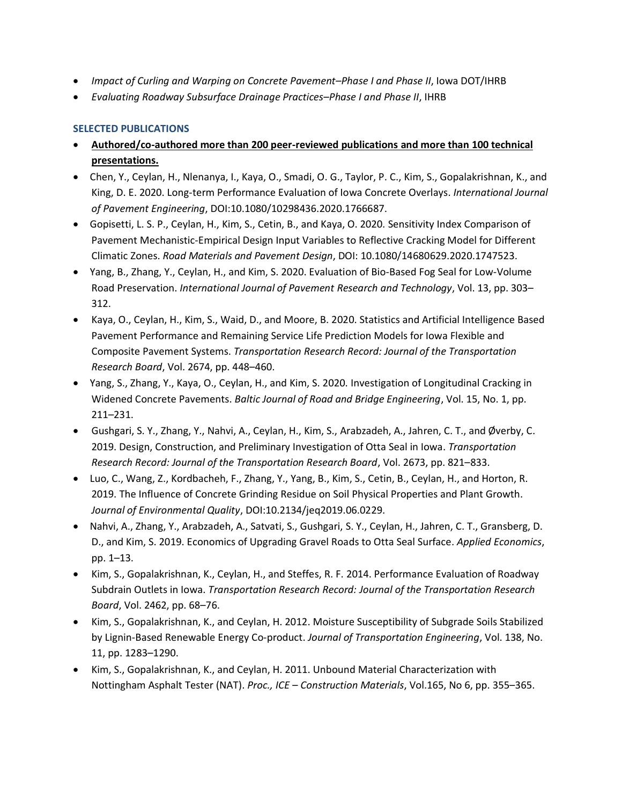- *Impact of Curling and Warping on Concrete Pavement–Phase I and Phase II*, Iowa DOT/IHRB
- *Evaluating Roadway Subsurface Drainage Practices–Phase I and Phase II*, IHRB

# **SELECTED PUBLICATIONS**

- **Authored/co-authored more than 200 peer-reviewed publications and more than 100 technical presentations.**
- Chen, Y., Ceylan, H., Nlenanya, I., Kaya, O., Smadi, O. G., Taylor, P. C., Kim, S., Gopalakrishnan, K., and King, D. E. 2020. Long-term Performance Evaluation of Iowa Concrete Overlays. *International Journal of Pavement Engineering*, DOI:10.1080/10298436.2020.1766687.
- Gopisetti, L. S. P., Ceylan, H., Kim, S., Cetin, B., and Kaya, O. 2020. Sensitivity Index Comparison of Pavement Mechanistic-Empirical Design Input Variables to Reflective Cracking Model for Different Climatic Zones. *Road Materials and Pavement Design*, DOI: 10.1080/14680629.2020.1747523.
- Yang, B., Zhang, Y., Ceylan, H., and Kim, S. 2020. Evaluation of Bio-Based Fog Seal for Low-Volume Road Preservation. *International Journal of Pavement Research and Technology*, Vol. 13, pp. 303*–* 312.
- Kaya, O., Ceylan, H., Kim, S., Waid, D., and Moore, B. 2020. Statistics and Artificial Intelligence Based Pavement Performance and Remaining Service Life Prediction Models for Iowa Flexible and Composite Pavement Systems. *Transportation Research Record: Journal of the Transportation Research Board*, Vol. 2674, pp. 448–460.
- Yang, S., Zhang, Y., Kaya, O., Ceylan, H., and Kim, S. 2020. Investigation of Longitudinal Cracking in Widened Concrete Pavements. *Baltic Journal of Road and Bridge Engineering*, Vol. 15, No. 1, pp. 211*–*231.
- Gushgari, S. Y., Zhang, Y., Nahvi, A., Ceylan, H., Kim, S., Arabzadeh, A., Jahren, C. T., and Øverby, C. 2019. Design, Construction, and Preliminary Investigation of Otta Seal in Iowa. *Transportation Research Record: Journal of the Transportation Research Board*, Vol. 2673, pp. 821–833.
- Luo, C., Wang, Z., Kordbacheh, F., Zhang, Y., Yang, B., Kim, S., Cetin, B., Ceylan, H., and Horton, R. 2019. The Influence of Concrete Grinding Residue on Soil Physical Properties and Plant Growth. *Journal of Environmental Quality*, DOI:10.2134/jeq2019.06.0229.
- Nahvi, A., Zhang, Y., Arabzadeh, A., Satvati, S., Gushgari, S. Y., Ceylan, H., Jahren, C. T., Gransberg, D. D., and Kim, S. 2019. Economics of Upgrading Gravel Roads to Otta Seal Surface. *Applied Economics*, pp. 1*–*13.
- Kim, S., Gopalakrishnan, K., Ceylan, H., and Steffes, R. F. 2014. Performance Evaluation of Roadway Subdrain Outlets in Iowa. *Transportation Research Record: Journal of the Transportation Research Board*, Vol. 2462, pp. 68–76.
- Kim, S., Gopalakrishnan, K., and Ceylan, H. 2012. Moisture Susceptibility of Subgrade Soils Stabilized by Lignin-Based Renewable Energy Co-product. *Journal of Transportation Engineering*, Vol. 138, No. 11, pp. 1283*–*1290.
- Kim, S., Gopalakrishnan, K., and Ceylan, H. 2011. Unbound Material Characterization with Nottingham Asphalt Tester (NAT). *Proc., ICE – Construction Materials*, Vol.165, No 6, pp. 355–365.